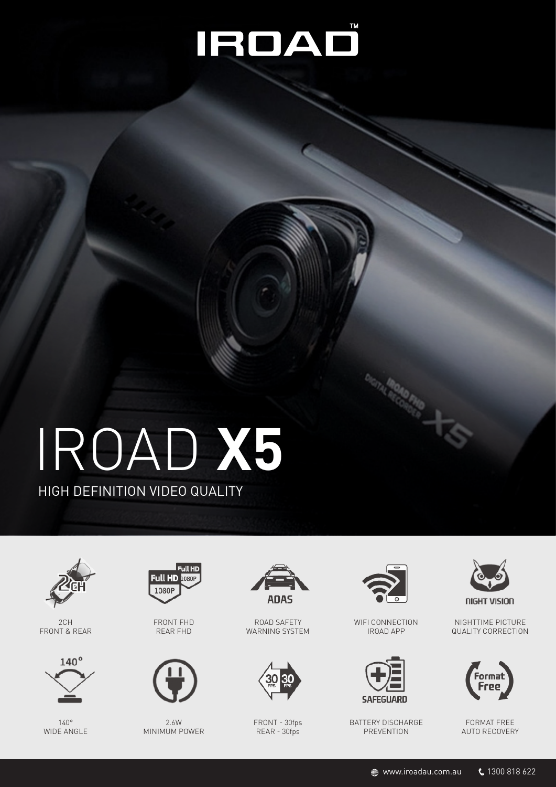## IROAD

# IROAD **X5**

HIGH DEFINITION VIDEO QUALITY



2CH FRONT & REAR



140° WIDE ANGLE



FRONT FHD REAR FHD



2.6W MINIMUM POWER



ROAD SAFETY WARNING SYSTEM



FRONT - 30fps REAR - 30fps



WIFI CONNECTION IROAD APP



BATTERY DISCHARGE PREVENTION



NIGHTTIME PICTURE QUALITY CORRECTION



FORMAT FREE AUTO RECOVERY